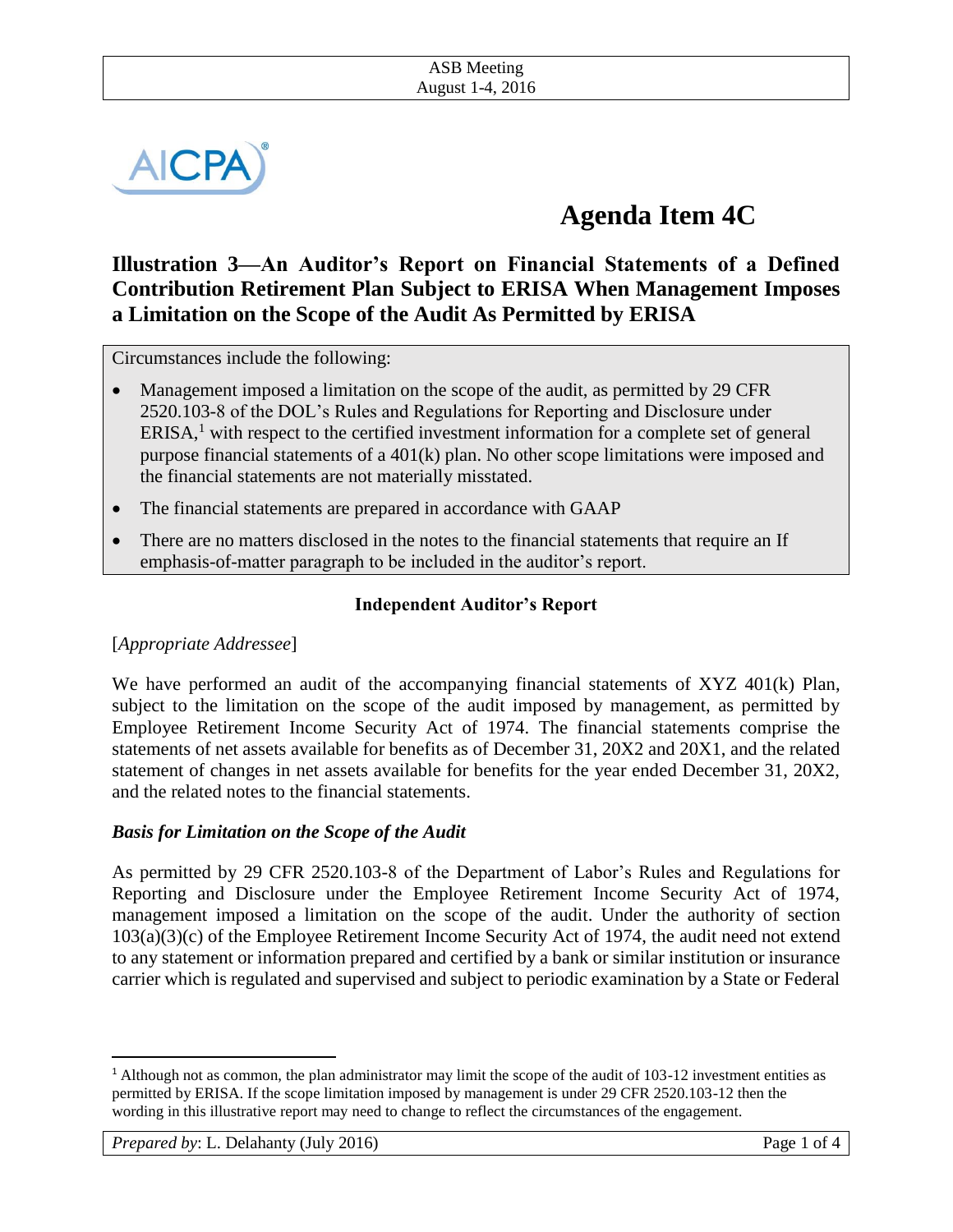

# **Agenda Item 4C**

## **Illustration 3—An Auditor's Report on Financial Statements of a Defined Contribution Retirement Plan Subject to ERISA When Management Imposes a Limitation on the Scope of the Audit As Permitted by ERISA**

Circumstances include the following:

- Management imposed a limitation on the scope of the audit, as permitted by 29 CFR 2520.103-8 of the DOL's Rules and Regulations for Reporting and Disclosure under  $ERISA<sub>1</sub><sup>1</sup>$  with respect to the certified investment information for a complete set of general purpose financial statements of a 401(k) plan. No other scope limitations were imposed and the financial statements are not materially misstated.
- The financial statements are prepared in accordance with GAAP
- There are no matters disclosed in the notes to the financial statements that require an If emphasis-of-matter paragraph to be included in the auditor's report.

## **Independent Auditor's Report**

## [*Appropriate Addressee*]

We have performed an audit of the accompanying financial statements of XYZ 401(k) Plan, subject to the limitation on the scope of the audit imposed by management, as permitted by Employee Retirement Income Security Act of 1974. The financial statements comprise the statements of net assets available for benefits as of December 31, 20X2 and 20X1, and the related statement of changes in net assets available for benefits for the year ended December 31, 20X2, and the related notes to the financial statements.

#### *Basis for Limitation on the Scope of the Audit*

As permitted by 29 CFR 2520.103-8 of the Department of Labor's Rules and Regulations for Reporting and Disclosure under the Employee Retirement Income Security Act of 1974, management imposed a limitation on the scope of the audit. Under the authority of section 103(a)(3)(c) of the Employee Retirement Income Security Act of 1974, the audit need not extend to any statement or information prepared and certified by a bank or similar institution or insurance carrier which is regulated and supervised and subject to periodic examination by a State or Federal

 $\overline{\phantom{a}}$ 

<sup>&</sup>lt;sup>1</sup> Although not as common, the plan administrator may limit the scope of the audit of 103-12 investment entities as permitted by ERISA. If the scope limitation imposed by management is under 29 CFR 2520.103-12 then the wording in this illustrative report may need to change to reflect the circumstances of the engagement.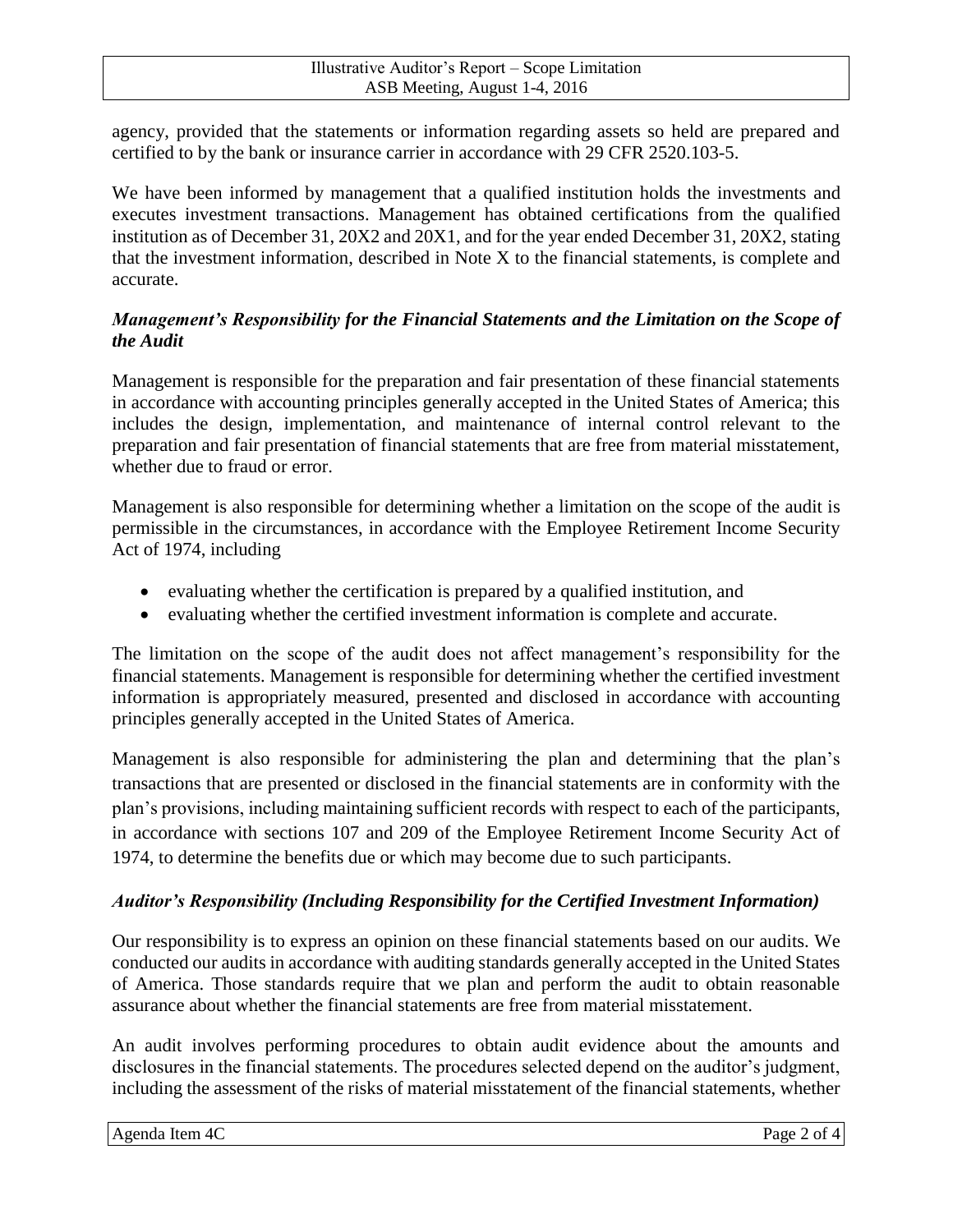agency, provided that the statements or information regarding assets so held are prepared and certified to by the bank or insurance carrier in accordance with 29 CFR 2520.103-5.

We have been informed by management that a qualified institution holds the investments and executes investment transactions. Management has obtained certifications from the qualified institution as of December 31, 20X2 and 20X1, and for the year ended December 31, 20X2, stating that the investment information, described in Note X to the financial statements, is complete and accurate.

## *Management's Responsibility for the Financial Statements and the Limitation on the Scope of the Audit*

Management is responsible for the preparation and fair presentation of these financial statements in accordance with accounting principles generally accepted in the United States of America; this includes the design, implementation, and maintenance of internal control relevant to the preparation and fair presentation of financial statements that are free from material misstatement, whether due to fraud or error.

Management is also responsible for determining whether a limitation on the scope of the audit is permissible in the circumstances, in accordance with the Employee Retirement Income Security Act of 1974, including

- evaluating whether the certification is prepared by a qualified institution, and
- evaluating whether the certified investment information is complete and accurate.

The limitation on the scope of the audit does not affect management's responsibility for the financial statements. Management is responsible for determining whether the certified investment information is appropriately measured, presented and disclosed in accordance with accounting principles generally accepted in the United States of America.

Management is also responsible for administering the plan and determining that the plan's transactions that are presented or disclosed in the financial statements are in conformity with the plan's provisions, including maintaining sufficient records with respect to each of the participants, in accordance with sections 107 and 209 of the Employee Retirement Income Security Act of 1974, to determine the benefits due or which may become due to such participants.

## *Auditor's Responsibility (Including Responsibility for the Certified Investment Information)*

Our responsibility is to express an opinion on these financial statements based on our audits. We conducted our audits in accordance with auditing standards generally accepted in the United States of America. Those standards require that we plan and perform the audit to obtain reasonable assurance about whether the financial statements are free from material misstatement.

An audit involves performing procedures to obtain audit evidence about the amounts and disclosures in the financial statements. The procedures selected depend on the auditor's judgment, including the assessment of the risks of material misstatement of the financial statements, whether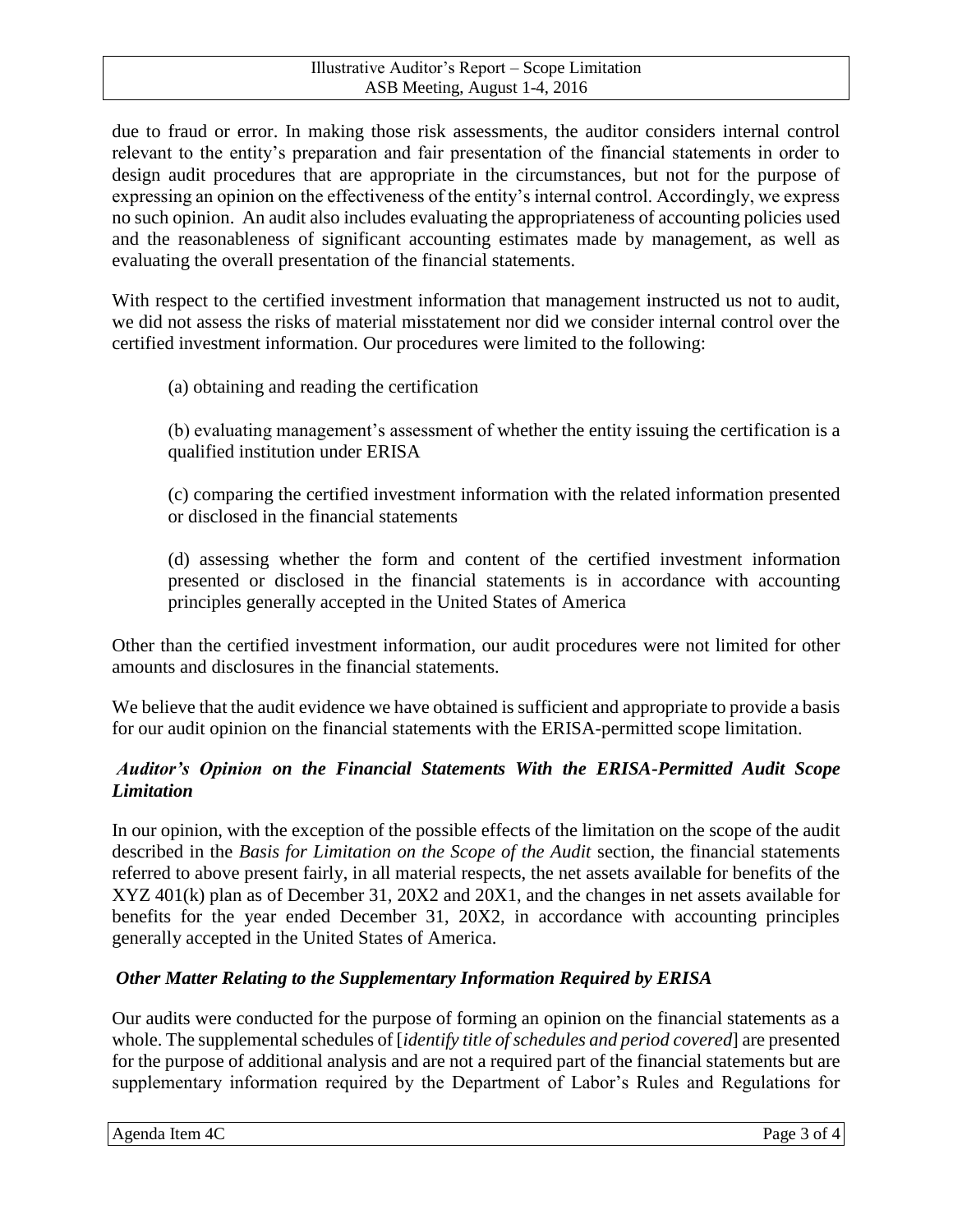due to fraud or error. In making those risk assessments, the auditor considers internal control relevant to the entity's preparation and fair presentation of the financial statements in order to design audit procedures that are appropriate in the circumstances, but not for the purpose of expressing an opinion on the effectiveness of the entity's internal control. Accordingly, we express no such opinion. An audit also includes evaluating the appropriateness of accounting policies used and the reasonableness of significant accounting estimates made by management, as well as evaluating the overall presentation of the financial statements.

With respect to the certified investment information that management instructed us not to audit, we did not assess the risks of material misstatement nor did we consider internal control over the certified investment information. Our procedures were limited to the following:

(a) obtaining and reading the certification

(b) evaluating management's assessment of whether the entity issuing the certification is a qualified institution under ERISA

(c) comparing the certified investment information with the related information presented or disclosed in the financial statements

(d) assessing whether the form and content of the certified investment information presented or disclosed in the financial statements is in accordance with accounting principles generally accepted in the United States of America

Other than the certified investment information, our audit procedures were not limited for other amounts and disclosures in the financial statements.

We believe that the audit evidence we have obtained is sufficient and appropriate to provide a basis for our audit opinion on the financial statements with the ERISA-permitted scope limitation.

## *Auditor's Opinion on the Financial Statements With the ERISA-Permitted Audit Scope Limitation*

In our opinion, with the exception of the possible effects of the limitation on the scope of the audit described in the *Basis for Limitation on the Scope of the Audit* section, the financial statements referred to above present fairly, in all material respects, the net assets available for benefits of the XYZ 401(k) plan as of December 31, 20X2 and 20X1, and the changes in net assets available for benefits for the year ended December 31, 20X2, in accordance with accounting principles generally accepted in the United States of America.

## *Other Matter Relating to the Supplementary Information Required by ERISA*

Our audits were conducted for the purpose of forming an opinion on the financial statements as a whole. The supplemental schedules of [*identify title of schedules and period covered*] are presented for the purpose of additional analysis and are not a required part of the financial statements but are supplementary information required by the Department of Labor's Rules and Regulations for